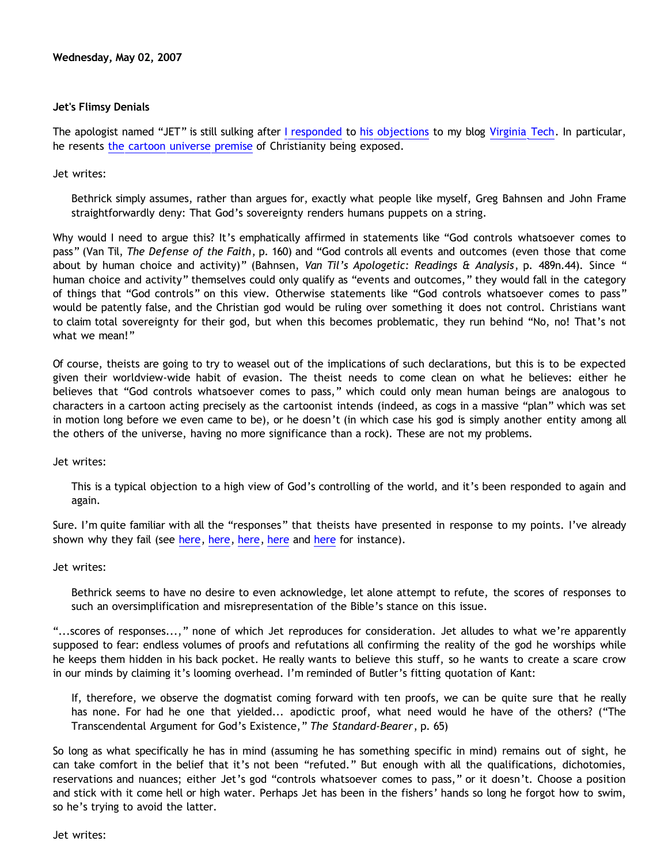## **Jet's Flimsy Denials**

The apologist named "JET" is still sulking after [I responded](http://bahnsenburner.blogspot.com/2007/04/christian-reaction-to-virginia-tech.html) to [his objections](http://apolojet.notsorry.net/2007/04/21/the-events-at-vt-as-evidence-against-christianity/) to my blog [Virginia Tech.](http://bahnsenburner.blogspot.com/2007/04/virginia-tech.html) In particular, he resents [the cartoon universe premise](http://www.strongatheism.net/library/atheology/cartoon_universe_of_theism/) of Christianity being exposed.

Jet writes:

Bethrick simply assumes, rather than argues for, exactly what people like myself, Greg Bahnsen and John Frame straightforwardly deny: That God's sovereignty renders humans puppets on a string.

Why would I need to argue this? It's emphatically affirmed in statements like "God controls whatsoever comes to pass" (Van Til, *The Defense of the Faith*, p. 160) and "God controls all events and outcomes (even those that come about by human choice and activity)" (Bahnsen, *Van Til's Apologetic: Readings & Analysis*, p. 489n.44). Since " human choice and activity" themselves could only qualify as "events and outcomes," they would fall in the category of things that "God controls" on this view. Otherwise statements like "God controls whatsoever comes to pass" would be patently false, and the Christian god would be ruling over something it does not control. Christians want to claim total sovereignty for their god, but when this becomes problematic, they run behind "No, no! That's not what we mean!"

Of course, theists are going to try to weasel out of the implications of such declarations, but this is to be expected given their worldview-wide habit of evasion. The theist needs to come clean on what he believes: either he believes that "God controls whatsoever comes to pass," which could only mean human beings are analogous to characters in a cartoon acting precisely as the cartoonist intends (indeed, as cogs in a massive "plan" which was set in motion long before we even came to be), or he doesn't (in which case his god is simply another entity among all the others of the universe, having no more significance than a rock). These are not my problems.

Jet writes:

This is a typical objection to a high view of God's controlling of the world, and it's been responded to again and again.

Sure. I'm quite familiar with all the "responses" that theists have presented in response to my points. I've already shown why they fail (see [here,](http://bahnsenburner.blogspot.com/2006/06/steves-persisting-haysiness.html) here, here, [here](http://bahnsenburner.blogspot.com/2006/07/metaphysical-subjectivism-and_06.html) and here for instance).

Jet writes:

Bethrick seems to have no desire to even acknowledge, let alone attempt to refute, the scores of responses to such an oversimplification and misrepresentation of the Bible's stance on this issue.

"...scores of responses...," none of which Jet reproduces for consideration. Jet alludes to what we're apparently supposed to fear: endless volumes of proofs and refutations all confirming the reality of the god he worships while he keeps them hidden in his back pocket. He really wants to believe this stuff, so he wants to create a scare crow in our minds by claiming it's looming overhead. I'm reminded of Butler's fitting quotation of Kant:

If, therefore, we observe the dogmatist coming forward with ten proofs, we can be quite sure that he really has none. For had he one that yielded... apodictic proof, what need would he have of the others? ("The Transcendental Argument for God's Existence," *The Standard-Bearer*, p. 65)

So long as what specifically he has in mind (assuming he has something specific in mind) remains out of sight, he can take comfort in the belief that it's not been "refuted." But enough with all the qualifications, dichotomies, reservations and nuances; either Jet's god "controls whatsoever comes to pass," or it doesn't. Choose a position and stick with it come hell or high water. Perhaps Jet has been in the fishers' hands so long he forgot how to swim, so he's trying to avoid the latter.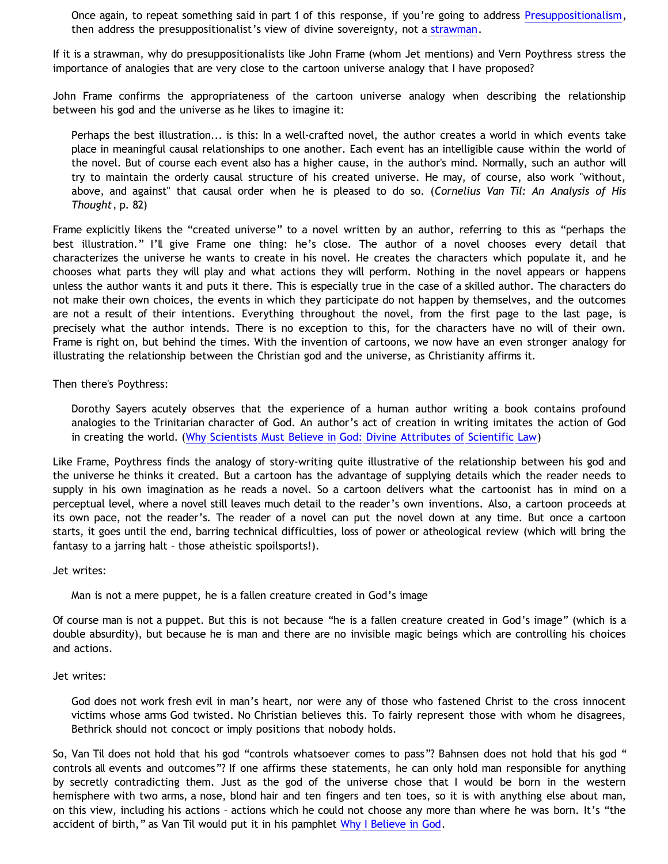Once again, to repeat something said in part 1 of this response, if you're going to address [Presuppositionalism](http://en.wikipedia.org/wiki/Presuppositionalism), then address the presuppositionalist's view of divine sovereignty, not a [strawman](http://en.wikipedia.org/wiki/Straw_man).

If it is a strawman, why do presuppositionalists like John Frame (whom Jet mentions) and Vern Poythress stress the importance of analogies that are very close to the cartoon universe analogy that I have proposed?

John Frame confirms the appropriateness of the cartoon universe analogy when describing the relationship between his god and the universe as he likes to imagine it:

Perhaps the best illustration... is this: In a well-crafted novel, the author creates a world in which events take place in meaningful causal relationships to one another. Each event has an intelligible cause within the world of the novel. But of course each event also has a higher cause, in the author's mind. Normally, such an author will try to maintain the orderly causal structure of his created universe. He may, of course, also work "without, above, and against" that causal order when he is pleased to do so. (*Cornelius Van Til: An Analysis of His Thought*, p. 82)

Frame explicitly likens the "created universe" to a novel written by an author, referring to this as "perhaps the best illustration." I'll give Frame one thing: he's close. The author of a novel chooses every detail that characterizes the universe he wants to create in his novel. He creates the characters which populate it, and he chooses what parts they will play and what actions they will perform. Nothing in the novel appears or happens unless the author wants it and puts it there. This is especially true in the case of a skilled author. The characters do not make their own choices, the events in which they participate do not happen by themselves, and the outcomes are not a result of their intentions. Everything throughout the novel, from the first page to the last page, is precisely what the author intends. There is no exception to this, for the characters have no will of their own. Frame is right on, but behind the times. With the invention of cartoons, we now have an even stronger analogy for illustrating the relationship between the Christian god and the universe, as Christianity affirms it.

Then there's Poythress:

Dorothy Sayers acutely observes that the experience of a human author writing a book contains profound analogies to the Trinitarian character of God. An author's act of creation in writing imitates the action of God in creating the world. [\(Why Scientists Must Believe in God: Divine Attributes of Scientific Law\)](http://www.frame-poythress.org/poythress_articles/2003Why.htm)

Like Frame, Poythress finds the analogy of story-writing quite illustrative of the relationship between his god and the universe he thinks it created. But a cartoon has the advantage of supplying details which the reader needs to supply in his own imagination as he reads a novel. So a cartoon delivers what the cartoonist has in mind on a perceptual level, where a novel still leaves much detail to the reader's own inventions. Also, a cartoon proceeds at its own pace, not the reader's. The reader of a novel can put the novel down at any time. But once a cartoon starts, it goes until the end, barring technical difficulties, loss of power or atheological review (which will bring the fantasy to a jarring halt – those atheistic spoilsports!).

Jet writes:

Man is not a mere puppet, he is a fallen creature created in God's image

Of course man is not a puppet. But this is not because "he is a fallen creature created in God's image" (which is a double absurdity), but because he is man and there are no invisible magic beings which are controlling his choices and actions.

Jet writes:

God does not work fresh evil in man's heart, nor were any of those who fastened Christ to the cross innocent victims whose arms God twisted. No Christian believes this. To fairly represent those with whom he disagrees, Bethrick should not concoct or imply positions that nobody holds.

So, Van Til does not hold that his god "controls whatsoever comes to pass"? Bahnsen does not hold that his god " controls all events and outcomes"? If one affirms these statements, he can only hold man responsible for anything by secretly contradicting them. Just as the god of the universe chose that I would be born in the western hemisphere with two arms, a nose, blond hair and ten fingers and ten toes, so it is with anything else about man, on this view, including his actions – actions which he could not choose any more than where he was born. It's "the accident of birth," as Van Til would put it in his pamphlet [Why I Believe in God.](http://www.geocities.com/Athens/Sparta/1019/Morgue/Van_Til_Intro.htm)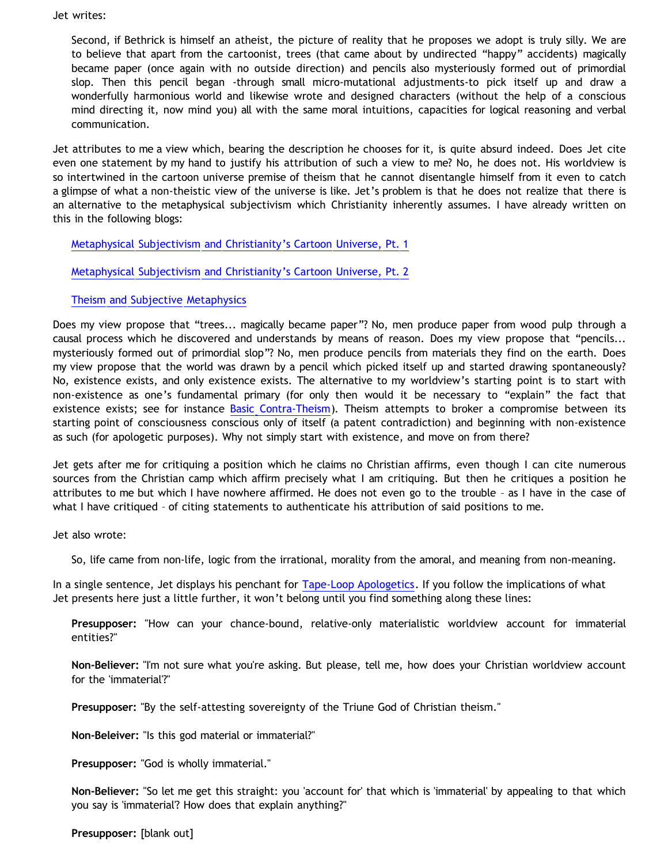Jet writes:

Second, if Bethrick is himself an atheist, the picture of reality that he proposes we adopt is truly silly. We are to believe that apart from the cartoonist, trees (that came about by undirected "happy" accidents) magically became paper (once again with no outside direction) and pencils also mysteriously formed out of primordial slop. Then this pencil began -through small micro-mutational adjustments-to pick itself up and draw a wonderfully harmonious world and likewise wrote and designed characters (without the help of a conscious mind directing it, now mind you) all with the same moral intuitions, capacities for logical reasoning and verbal communication.

Jet attributes to me a view which, bearing the description he chooses for it, is quite absurd indeed. Does Jet cite even one statement by my hand to justify his attribution of such a view to me? No, he does not. His worldview is so intertwined in the cartoon universe premise of theism that he cannot disentangle himself from it even to catch a glimpse of what a non-theistic view of the universe is like. Jet's problem is that he does not realize that there is an alternative to the metaphysical subjectivism which Christianity inherently assumes. I have already written on this in the following blogs:

[Metaphysical Subjectivism and Christianity's Cartoon Universe, Pt. 1](http://bahnsenburner.blogspot.com/2006/07/metaphysical-subjectivism-and.html)

[Metaphysical Subjectivism and Christianity's Cartoon Universe, Pt. 2](http://bahnsenburner.blogspot.com/2006/07/metaphysical-subjectivism-and_06.html)

## [Theism and Subjective Metaphysics](http://bahnsenburner.blogspot.com/2006/12/theism-and-subjective-metaphysics.html)

Does my view propose that "trees... magically became paper"? No, men produce paper from wood pulp through a causal process which he discovered and understands by means of reason. Does my view propose that "pencils... mysteriously formed out of primordial slop"? No, men produce pencils from materials they find on the earth. Does my view propose that the world was drawn by a pencil which picked itself up and started drawing spontaneously? No, existence exists, and only existence exists. The alternative to my worldview's starting point is to start with non-existence as one's fundamental primary (for only then would it be necessary to "explain" the fact that existence exists; see for instance [Basic Contra-Theism\)](http://bahnsenburner.blogspot.com/2006/05/basic-contra-theism.html). Theism attempts to broker a compromise between its starting point of consciousness conscious only of itself (a patent contradiction) and beginning with non-existence as such (for apologetic purposes). Why not simply start with existence, and move on from there?

Jet gets after me for critiquing a position which he claims no Christian affirms, even though I can cite numerous sources from the Christian camp which affirm precisely what I am critiquing. But then he critiques a position he attributes to me but which I have nowhere affirmed. He does not even go to the trouble – as I have in the case of what I have critiqued – of citing statements to authenticate his attribution of said positions to me.

Jet also wrote:

So, life came from non-life, logic from the irrational, morality from the amoral, and meaning from non-meaning.

In a single sentence, Jet displays his penchant for [Tape-Loop Apologetics.](http://bahnsenburner.blogspot.com/2005/11/tape-loop-apologetics.html) If you follow the implications of what Jet presents here just a little further, it won't belong until you find something along these lines:

**Presupposer:** "How can your chance-bound, relative-only materialistic worldview account for immaterial entities?"

**Non-Believer:** "I'm not sure what you're asking. But please, tell me, how does your Christian worldview account for the 'immaterial'?"

**Presupposer:** "By the self-attesting sovereignty of the Triune God of Christian theism."

**Non-Beleiver:** "Is this god material or immaterial?"

**Presupposer:** "God is wholly immaterial."

**Non-Believer:** "So let me get this straight: you 'account for' that which is 'immaterial' by appealing to that which you say is 'immaterial'? How does that explain anything?"

**Presupposer:** [blank out]